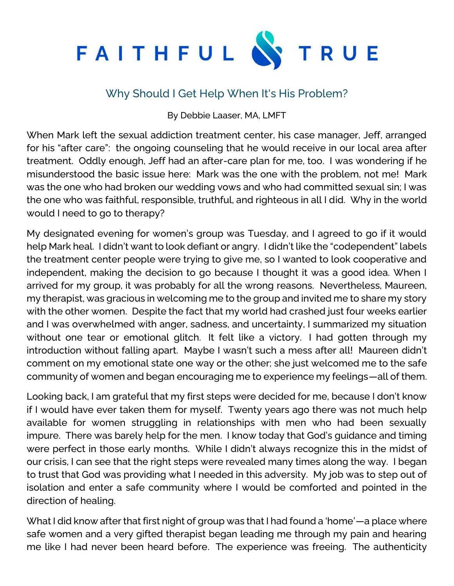

## Why Should I Get Help When It's His Problem?

By Debbie Laaser, MA, LMFT

When Mark left the sexual addiction treatment center, his case manager, Jeff, arranged for his "after care": the ongoing counseling that he would receive in our local area after treatment. Oddly enough, Jeff had an after-care plan for me, too. I was wondering if he misunderstood the basic issue here: Mark was the one with the problem, not me! Mark was the one who had broken our wedding vows and who had committed sexual sin; I was the one who was faithful, responsible, truthful, and righteous in all I did. Why in the world would I need to go to therapy?

My designated evening for women's group was Tuesday, and I agreed to go if it would help Mark heal. I didn't want to look defiant or angry. I didn't like the "codependent" labels the treatment center people were trying to give me, so I wanted to look cooperative and independent, making the decision to go because I thought it was a good idea. When I arrived for my group, it was probably for all the wrong reasons. Nevertheless, Maureen, my therapist, was gracious in welcoming me to the group and invited me to share my story with the other women. Despite the fact that my world had crashed just four weeks earlier and I was overwhelmed with anger, sadness, and uncertainty, I summarized my situation without one tear or emotional glitch. It felt like a victory. I had gotten through my introduction without falling apart. Maybe I wasn't such a mess after all! Maureen didn't comment on my emotional state one way or the other; she just welcomed me to the safe community of women and began encouraging me to experience my feelings—all of them.

Looking back, I am grateful that my first steps were decided for me, because I don't know if I would have ever taken them for myself. Twenty years ago there was not much help available for women struggling in relationships with men who had been sexually impure. There was barely help for the men. I know today that God's guidance and timing were perfect in those early months. While I didn't always recognize this in the midst of our crisis, I can see that the right steps were revealed many times along the way. I began to trust that God was providing what I needed in this adversity. My job was to step out of isolation and enter a safe community where I would be comforted and pointed in the direction of healing.

What I did know after that first night of group was that I had found a 'home'—a place where safe women and a very gifted therapist began leading me through my pain and hearing me like I had never been heard before. The experience was freeing. The authenticity